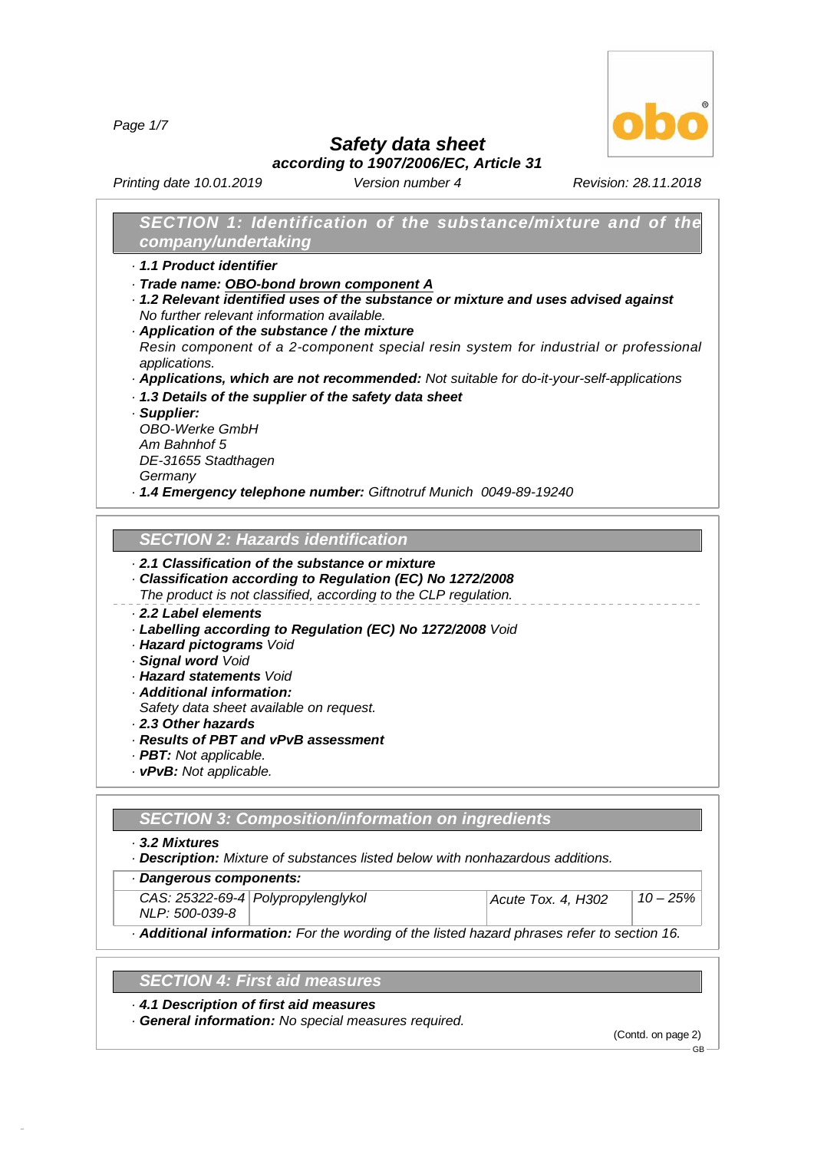*Page 1/7*



# *Safety data sheet*

*according to 1907/2006/EC, Article 31*

*Printing date 10.01.2019 Version number 4 Revision: 28.11.2018*

# *SECTION 1: Identification of the substance/mixture and of the company/undertaking*

- *· 1.1 Product identifier*
- *· Trade name: OBO-bond brown component A*
- *· 1.2 Relevant identified uses of the substance or mixture and uses advised against No further relevant information available.*
- *· Application of the substance / the mixture Resin component of a 2-component special resin system for industrial or professional*
- *applications.*
- *· Applications, which are not recommended: Not suitable for do-it-your-self-applications*
- *· 1.3 Details of the supplier of the safety data sheet*
- *· Supplier:*

*OBO-Werke GmbH Am Bahnhof 5 DE-31655 Stadthagen Germany*

*· 1.4 Emergency telephone number: Giftnotruf Munich 0049-89-19240*

### *SECTION 2:Hazards identification*

# *· 2.1 Classification of the substance or mixture*

- *· Classification according to Regulation (EC) No 1272/2008*
- *The product is not classified, according to the CLP regulation.*

## *· 2.2 Label elements*

- *· Labelling according to Regulation (EC) No 1272/2008 Void*
- *· Hazard pictograms Void*
- *· Signal word Void*
- *· Hazard statements Void*
- *· Additional information:*
- *Safety data sheet available on request.*
- *· 2.3 Other hazards*
- *· Results of PBT and vPvB assessment*
- *· PBT: Not applicable.*
- *· vPvB: Not applicable.*

#### *SECTION 3:Composition/information on ingredients*

*· 3.2 Mixtures*

48.0.6

*· Description: Mixture of substances listed below with nonhazardous additions.*

*· Dangerous components:*

|                | CAS: 25322-69-4 Polypropylenglykol | Acute Tox. 4, H302 | $10 - 25\%$ |  |
|----------------|------------------------------------|--------------------|-------------|--|
| NLP: 500-039-8 |                                    |                    |             |  |

*· Additional information: For the wording of the listed hazard phrases refer to section 16.*

## *SECTION 4:First aid measures*

*· 4.1 Description of first aid measures*

*· General information: No special measures required.*

(Contd. on page 2)

GB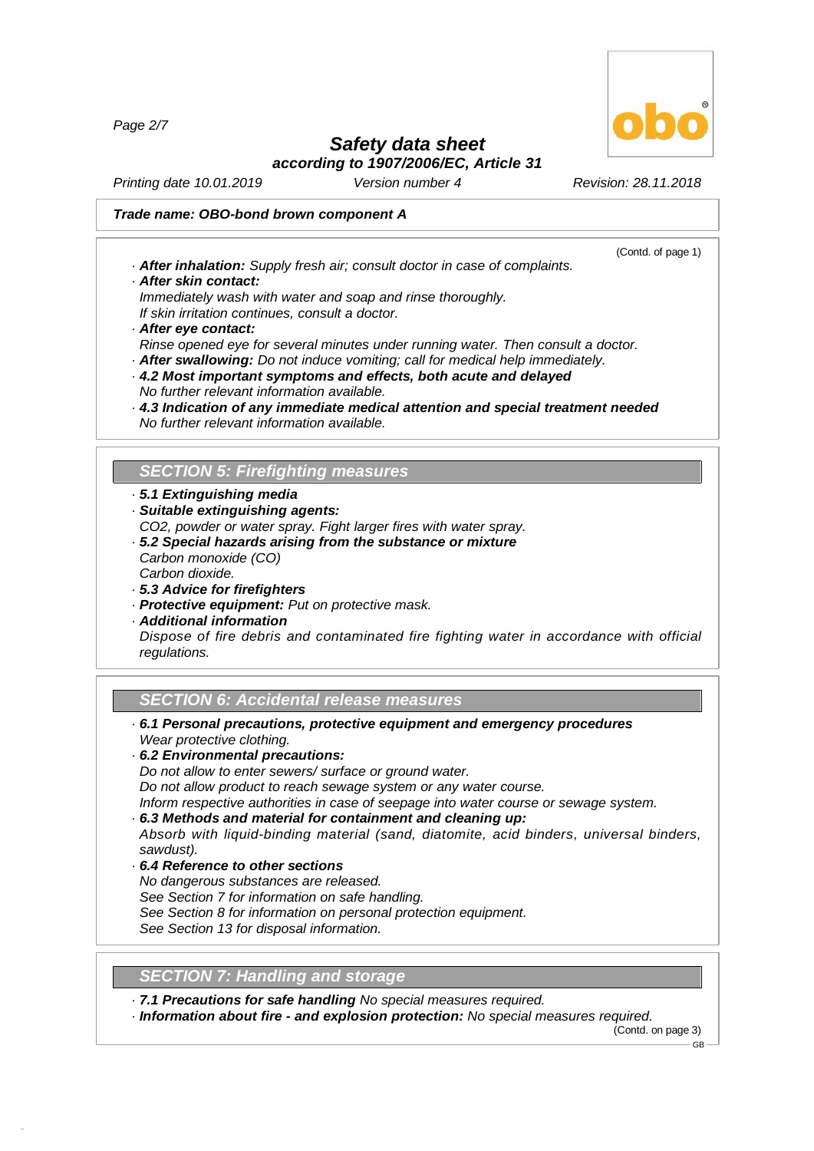*Page 2/7*



(Contd. of page 1)

# *Safety data sheet*

*according to 1907/2006/EC, Article 31*

*Printing date 10.01.2019 Version number 4 Revision: 28.11.2018*

### *Trade name: OBO-bond brown component A*

- *· After inhalation: Supply fresh air; consult doctor in case of complaints. · After skin contact:*
- *Immediately wash with water and soap and rinse thoroughly.*
- *If skin irritation continues, consult a doctor.*
- *· After eye contact:*
- *Rinse opened eye for several minutes under running water. Then consult a doctor.*
- *· After swallowing: Do not induce vomiting; call for medical help immediately. · 4.2 Most important symptoms and effects, both acute and delayed No further relevant information available.*
- *· 4.3 Indication of any immediate medical attention and special treatment needed No further relevant information available.*

# **SECTION 5: Firefighting measures**

- *· 5.1 Extinguishing media*
- *· Suitable extinguishing agents:*
- *CO2, powder or water spray. Fight larger fires with water spray.*
- *· 5.2 Special hazards arising from the substance or mixture Carbon monoxide (CO)*
- *Carbon dioxide.*

48.0.6

- *· 5.3 Advice for firefighters*
- *· Protective equipment: Put on protective mask.*
- *· Additional information*

*Dispose of fire debris and contaminated fire fighting water in accordance with official regulations.*

#### *SECTION 6:Accidental release measures*

- *· 6.1 Personal precautions, protective equipment and emergency procedures Wear protective clothing.*
- *· 6.2 Environmental precautions:*

*Do not allow to enter sewers/ surface or ground water.*

*Do not allow product to reach sewage system or any water course.*

*Inform respective authorities in case of seepage into water course or sewage system.*

*· 6.3 Methods and material for containment and cleaning up:*

*Absorb with liquid-binding material (sand, diatomite, acid binders, universal binders, sawdust).*

*· 6.4 Reference to other sections No dangerous substances are released. See Section 7 for information on safe handling. See Section 8 for information on personal protection equipment. See Section 13 for disposal information.*

## **SECTION 7: Handling and storage**

*· 7.1 Precautions for safe handling No special measures required.*

*· Information about fire - and explosion protection: No special measures required.*

(Contd. on page 3)

GB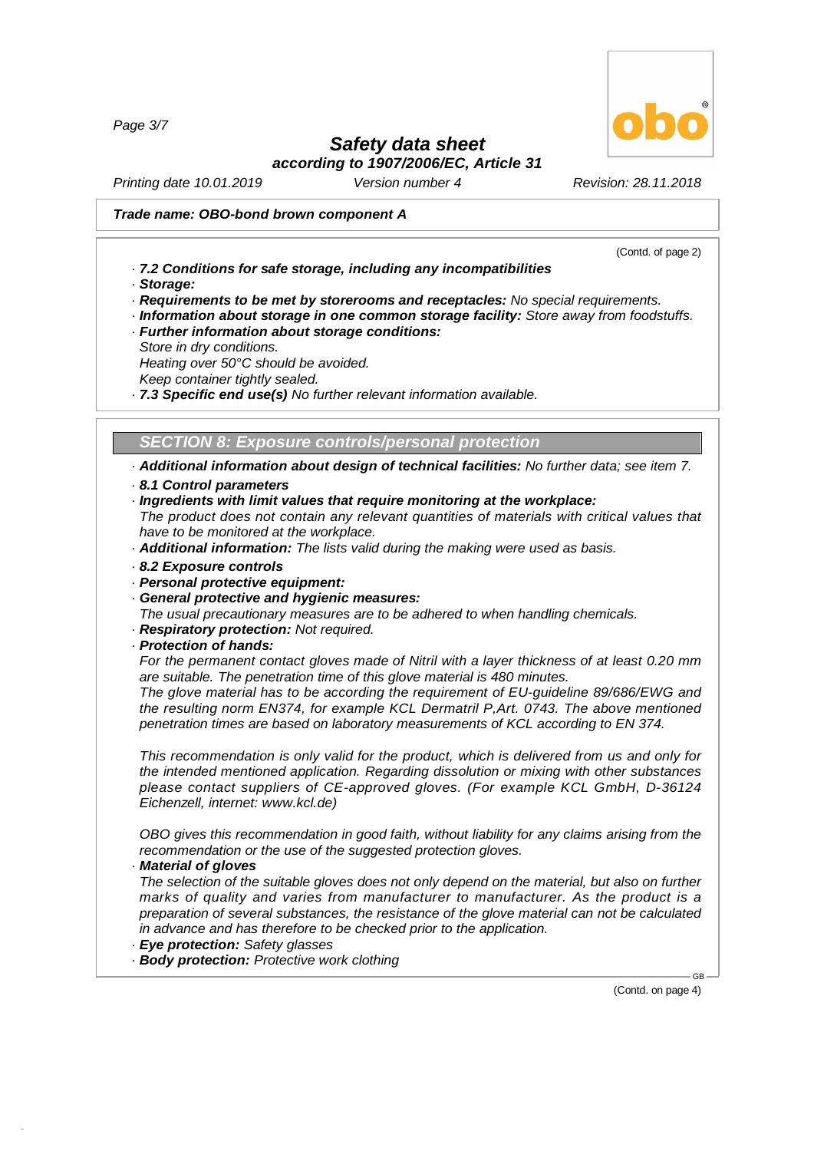*Page 3/7*

# *Safety data sheet*

*according to 1907/2006/EC, Article 31*

*Printing date 10.01.2019 Version number 4 Revision: 28.11.2018*

#### *Trade name: OBO-bond brown component A*

(Contd. of page 2)

- *· 7.2 Conditions for safe storage, including any incompatibilities*
- *· Storage:*

*· Requirements to be met by storerooms and receptacles: No special requirements.*

- *· Information about storage in one common storage facility: Store away from foodstuffs.*
- *· Further information about storage conditions:*
- *Store in dry conditions.*

*Heating over 50°C should be avoided.*

*Keep container tightly sealed.*

*· 7.3 Specific end use(s) No further relevant information available.*

*SECTION 8:Exposure controls/personal protection*

*· Additional information about design of technical facilities: No further data; see item 7. · 8.1 Control parameters*

- 
- *· Ingredients with limit values that require monitoring at the workplace:*

*The product does not contain any relevant quantities of materials with critical values that have to be monitored at the workplace.*

- *· Additional information: The lists valid during the making were used as basis.*
- *· 8.2 Exposure controls*
- *· Personal protective equipment:*
- *· General protective and hygienic measures:*
- *The usual precautionary measures are to be adhered to when handling chemicals.*
- *· Respiratory protection: Not required.*
- *· Protection of hands:*

*For the permanent contact gloves made of Nitril with a layer thickness of at least 0.20 mm are suitable. The penetration time of this glove material is 480 minutes.*

*The glove material has to be according the requirement of EU-guideline 89/686/EWG and the resulting norm EN374, for example KCL Dermatril P,Art. 0743. The above mentioned penetration times are based on laboratory measurements of KCL according to EN 374.*

*This recommendation is only valid for the product, which is delivered from us and only for the intended mentioned application. Regarding dissolution or mixing with other substances please contact suppliers of CE-approved gloves. (For example KCL GmbH, D-36124 Eichenzell, internet: [www.kcl.de\)](]A)*

*OBO gives this recommendation in good faith, without liability for any claims arising from the recommendation or the use of the suggested protection gloves.*

*· Material of gloves*

48.0.6

*The selection of the suitable gloves does not only depend on the material, but also on further marks of quality and varies from manufacturer to manufacturer. As the product is a preparation of several substances, the resistance of the glove material can not be calculated in advance and has therefore to be checked prior to the application.*

- *· Eye protection: Safety glasses*
- *· Body protection: Protective work clothing*

(Contd. on page 4)

GB

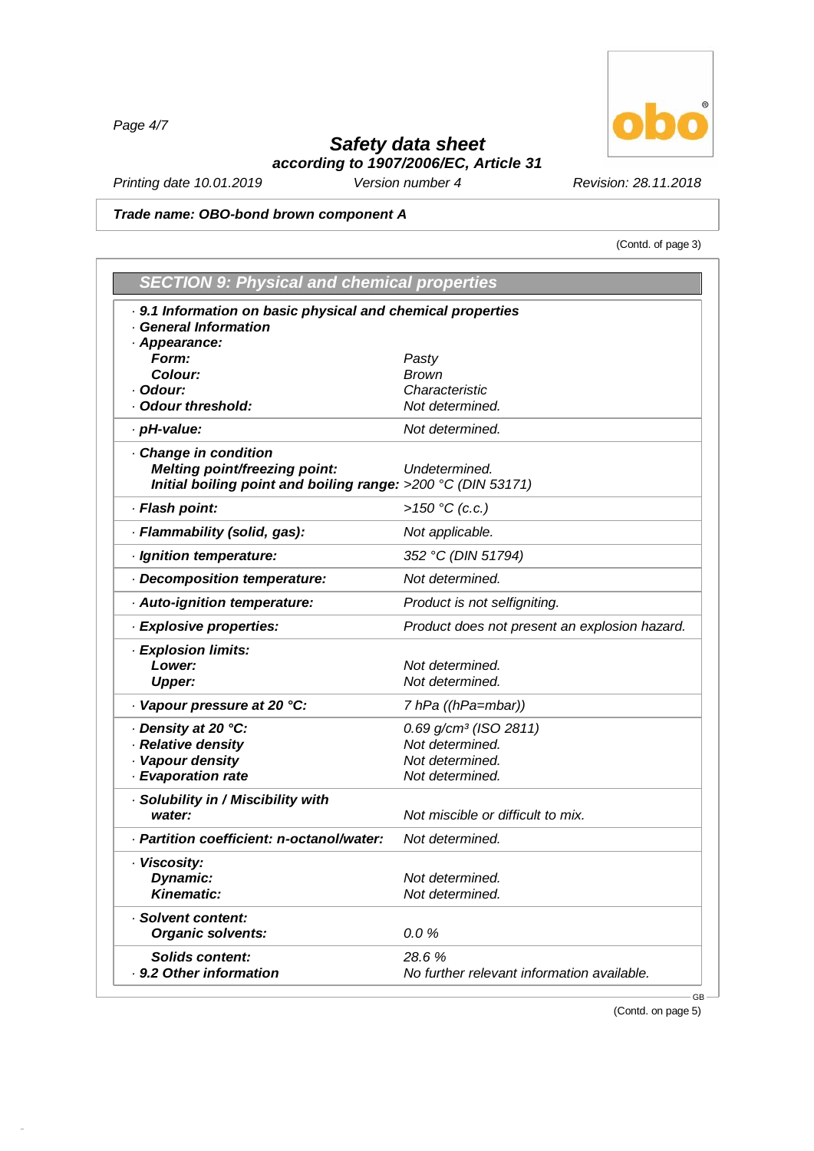*Page 4/7*

48.0.6

# *Safety data sheet*

 $^\circledR$ ō

(Contd. of page 3)

*according to 1907/2006/EC, Article 31*

*Printing date 10.01.2019 Version number 4 Revision: 28.11.2018*

#### *Trade name: OBO-bond brown component A*

| . 9.1 Information on basic physical and chemical properties<br><b>General Information</b> |                                               |
|-------------------------------------------------------------------------------------------|-----------------------------------------------|
| · Appearance:                                                                             |                                               |
| Form:                                                                                     | Pasty                                         |
| Colour:                                                                                   | <b>Brown</b>                                  |
| · Odour:                                                                                  | Characteristic                                |
| Odour threshold:                                                                          | Not determined.                               |
| · pH-value:                                                                               | Not determined.                               |
| Change in condition                                                                       |                                               |
| Melting point/freezing point:                                                             | Undetermined.                                 |
| Initial boiling point and boiling range: >200 °C (DIN 53171)                              |                                               |
| · Flash point:                                                                            | >150 °C (c.c.)                                |
| · Flammability (solid, gas):                                                              | Not applicable.                               |
| · Ignition temperature:                                                                   | 352 °C (DIN 51794)                            |
| Decomposition temperature:                                                                | Not determined.                               |
| · Auto-ignition temperature:                                                              | Product is not selfigniting.                  |
| · Explosive properties:                                                                   | Product does not present an explosion hazard. |
| · Explosion limits:                                                                       |                                               |
| Lower:                                                                                    | Not determined.                               |
| <b>Upper:</b>                                                                             | Not determined.                               |
| Vapour pressure at 20 °C:                                                                 | 7 hPa ((hPa=mbar))                            |
| · Density at 20 °C:                                                                       | 0.69 g/cm <sup>3</sup> (ISO 2811)             |
| · Relative density                                                                        | Not determined.                               |
| · Vapour density                                                                          | Not determined.                               |
| · Evaporation rate                                                                        | Not determined.                               |
| · Solubility in / Miscibility with                                                        |                                               |
| water:                                                                                    | Not miscible or difficult to mix.             |
| · Partition coefficient: n-octanol/water:                                                 | Not determined.                               |
| · Viscosity:                                                                              |                                               |
| Dynamic:                                                                                  | Not determined.                               |
| <b>Kinematic:</b>                                                                         | Not determined.                               |
| · Solvent content:                                                                        |                                               |
| <b>Organic solvents:</b>                                                                  | 0.0%                                          |
| <b>Solids content:</b>                                                                    | 28.6 %                                        |

(Contd. on page 5)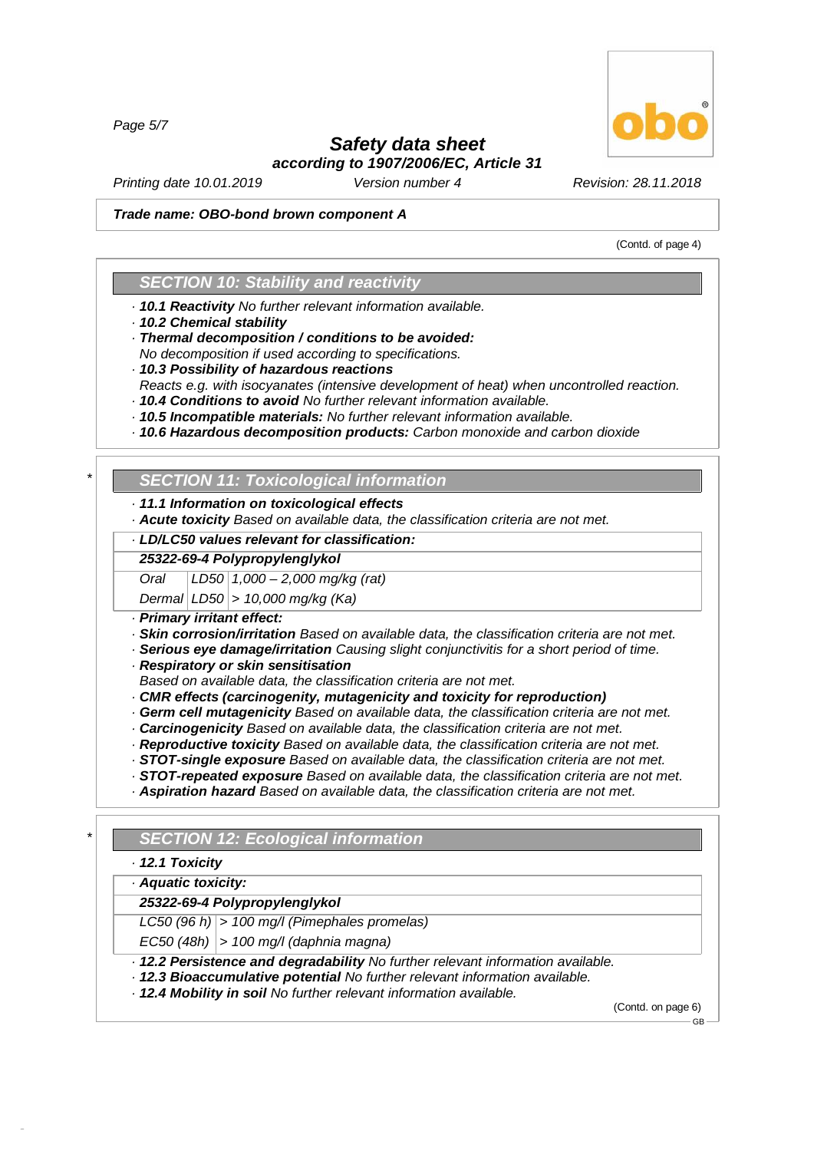*Page 5/7*

# *Safety data sheet*

*according to 1907/2006/EC, Article 31*

*Printing date 10.01.2019 Version number 4 Revision: 28.11.2018*

#### *Trade name: OBO-bond brown component A*

(Contd. of page 4)

### *SECTION 10: Stability and reactivity*

- *· 10.1 Reactivity No further relevant information available.*
- *· 10.2 Chemical stability*
- *· Thermal decomposition / conditions to be avoided:*
- *No decomposition if used according to specifications.*
- *· 10.3 Possibility of hazardous reactions*
- *Reacts e.g. with isocyanates (intensive development of heat) when uncontrolled reaction.*
- *· 10.4 Conditions to avoid No further relevant information available. · 10.5 Incompatible materials: No further relevant information available.*
- *· 10.6 Hazardous decomposition products: Carbon monoxide and carbon dioxide*

# *\* SECTION 11: Toxicological information*

- *· 11.1 Information on toxicological effects*
- *· Acute toxicity Based on available data, the classification criteria are not met.*

#### *· LD/LC50 values relevant for classification:*

#### *25322-69-4 Polypropylenglykol*

*Oral LD50 1,000 –2,000 mg/kg (rat)*

*Dermal LD50 > 10,000 mg/kg (Ka)*

- *· Primary irritant effect:*
- *· Skin corrosion/irritation Based on available data, the classification criteria are not met.*
- *· Serious eye damage/irritation Causing slight conjunctivitis for a short period of time.*
- *· Respiratory or skin sensitisation*
- *Based on available data, the classification criteria are not met.*
- *· CMR effects (carcinogenity, mutagenicity and toxicity for reproduction)*
- *· Germ cellmutagenicity Based on available data, the classification criteria are not met.*
- *· Carcinogenicity Based on available data, the classification criteria are not met.*
- *· Reproductive toxicity Based on available data, the classification criteria are not met.*
- *· STOT-single exposure Based on available data, the classification criteria are not met.*
- *· STOT-repeated exposure Based on available data, the classification criteria are not met.*
- *· Aspiration hazard Based on available data, the classification criteria are not met.*

*\* SECTION 12: Ecological information*

*· 12.1 Toxicity*

48.0.6

#### *· Aquatic toxicity:*

*25322-69-4 Polypropylenglykol*

*LC50 (96 h) > 100 mg/l (Pimephales promelas)*

*EC50 (48h) > 100 mg/l (daphnia magna)*

*· 12.2 Persistence and degradability No further relevant information available.*

- *· 12.3 Bioaccumulative potential No further relevant information available.*
- *· 12.4 Mobility in soil No further relevant information available.*

(Contd. on page 6) GB

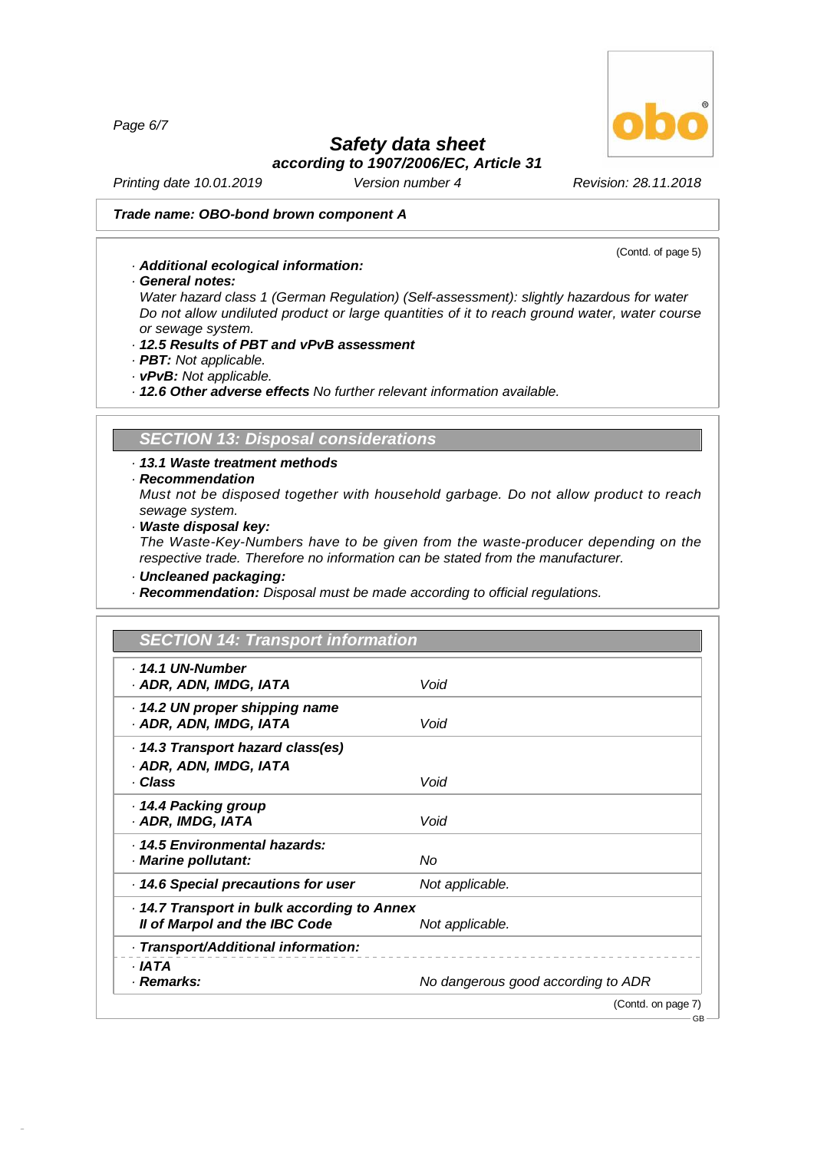*Page 6/7*

# *Safety data sheet*

*according to 1907/2006/EC, Article 31*

*Printing date 10.01.2019 Version number 4 Revision: 28.11.2018*

#### *Trade name: OBO-bond brown component A*

- *· Additional ecological information:*
- *· General notes:*

*Water hazard class 1 (German Regulation) (Self-assessment): slightly hazardous for water Do not allow undiluted product or large quantities of it to reach ground water, water course or sewage system.*

- *· 12.5 Results of PBT and vPvB assessment*
- *· PBT: Not applicable.*
- *· vPvB: Not applicable.*

*· 12.6 Other adverse effects No further relevant information available.*

## *SECTION 13: Disposal considerations*

- *· 13.1 Waste treatment methods*
- *· Recommendation*

*Must not be disposed together with household garbage. Do not allow product to reach sewage system.*

*· Waste disposal key:*

*The Waste-Key-Numbers have to be given from the waste-producer depending on the respective trade. Therefore no information can be stated from the manufacturer.*

*· Uncleaned packaging:*

48.0.6

*· Recommendation: Disposal must be made according to official regulations.*

| . 14.1 UN-Number                          |                                    |
|-------------------------------------------|------------------------------------|
| · ADR, ADN, IMDG, IATA                    | Void                               |
| 14.2 UN proper shipping name              |                                    |
| · ADR, ADN, IMDG, IATA                    | Void                               |
| 14.3 Transport hazard class(es)           |                                    |
| · ADR, ADN, IMDG, IATA                    |                                    |
| · Class                                   | Void                               |
| 14.4 Packing group                        |                                    |
| · ADR, IMDG, IATA                         | Void                               |
| · 14.5 Environmental hazards:             |                                    |
| · Marine pollutant:                       | No                                 |
| 14.6 Special precautions for user         | Not applicable.                    |
| 14.7 Transport in bulk according to Annex |                                    |
| Il of Marpol and the IBC Code             | Not applicable.                    |
| · Transport/Additional information:       |                                    |
| · IATA                                    |                                    |
| · Remarks:                                | No dangerous good according to ADR |



(Contd. of page 5)